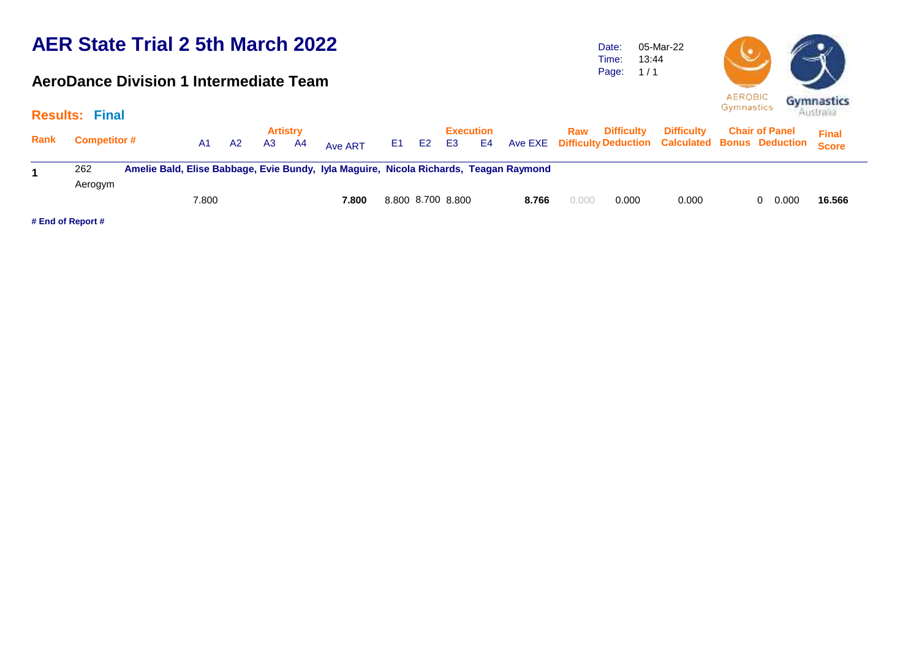#### **AeroDance Division 1 Intermediate Team**

Date: Time: Page: 05-Mar-22 13:44  $1/1$ 



|      | <b>Results: Final</b> |       |    |                                         |                                                                                       |                   |                        |       |       |                   |                   |                                                                                  | <b>Australia</b>             |
|------|-----------------------|-------|----|-----------------------------------------|---------------------------------------------------------------------------------------|-------------------|------------------------|-------|-------|-------------------|-------------------|----------------------------------------------------------------------------------|------------------------------|
| Rank | <b>Competitor #</b>   | A1    | A2 | <b>Artistry</b><br>A <sub>3</sub><br>A4 | Ave ART                                                                               | E1 E2             | <b>Execution</b><br>E3 | E4    | Raw   | <b>Difficulty</b> | <b>Difficulty</b> | <b>Chair of Panel</b><br>Ave EXE Difficulty Deduction Calculated Bonus Deduction | <b>Final</b><br><b>Score</b> |
|      | 262<br>Aerogym        |       |    |                                         | Amelie Bald, Elise Babbage, Evie Bundy, Iyla Maguire, Nicola Richards, Teagan Raymond |                   |                        |       |       |                   |                   |                                                                                  |                              |
|      |                       | 7.800 |    |                                         | 7.800                                                                                 | 8.800 8.700 8.800 |                        | 8.766 | 0.000 | 0.000             | 0.000             | 0.000                                                                            | 16.566                       |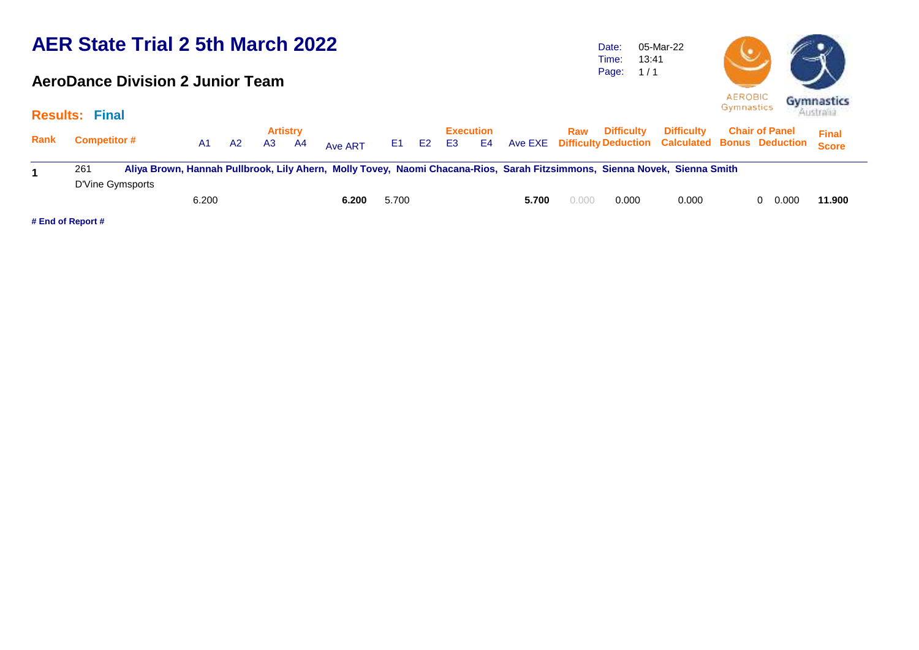#### **AeroDance Division 2 Junior Team**

Date: Time: Page: 1 / 1 05-Mar-22 13:41



|             | <b>Results: Final</b> |       |    |    |                         |                                                                                                                           |       |       |           |                 |       |       |                       |                                                                                    |                       | $A$ ustraan  |
|-------------|-----------------------|-------|----|----|-------------------------|---------------------------------------------------------------------------------------------------------------------------|-------|-------|-----------|-----------------|-------|-------|-----------------------|------------------------------------------------------------------------------------|-----------------------|--------------|
| <b>Rank</b> | <b>Competitor #</b>   | A1.   | A2 | A3 | <b>Artistry</b><br>- A4 | Ave ART                                                                                                                   |       | E1 E2 | <b>E3</b> | Execution<br>E4 |       |       | <b>Raw</b> Difficulty | <b>Difficulty</b><br>Ave EXE Difficulty Deduction Calculated Bonus Deduction Score | <b>Chair of Panel</b> | <b>Final</b> |
|             | 261                   |       |    |    |                         | Aliya Brown, Hannah Pullbrook, Lily Ahern, Molly Tovey, Naomi Chacana-Rios, Sarah Fitzsimmons, Sienna Novek, Sienna Smith |       |       |           |                 |       |       |                       |                                                                                    |                       |              |
|             | D'Vine Gymsports      | 6.200 |    |    |                         | 6.200                                                                                                                     | 5.700 |       |           |                 | 5.700 | 0.000 | 0.000                 | 0.000                                                                              | 0.000                 | 11.900       |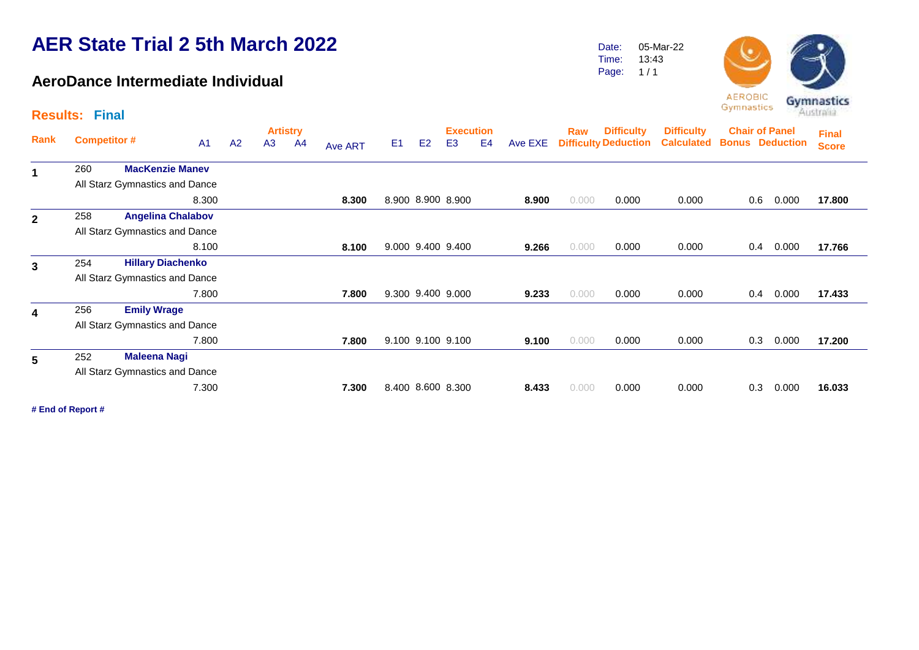#### **AeroDance Intermediate Individual**

Date: Time: 05-Mar-22 13:43

Page:  $1/1$ 



|              | <b>Results: Final</b> |                                |                |                |                       |                |         |                |                |                                    |                |         |       |                                                  |                                        | - 1<br>--------                                 |       | Australia                    |  |
|--------------|-----------------------|--------------------------------|----------------|----------------|-----------------------|----------------|---------|----------------|----------------|------------------------------------|----------------|---------|-------|--------------------------------------------------|----------------------------------------|-------------------------------------------------|-------|------------------------------|--|
| Rank         | <b>Competitor #</b>   |                                | A <sub>1</sub> | A <sub>2</sub> | <b>Artistry</b><br>A3 | A <sup>4</sup> | Ave ART | E <sub>1</sub> | E <sub>2</sub> | <b>Execution</b><br>E <sub>3</sub> | E <sub>4</sub> | Ave EXE | Raw   | <b>Difficulty</b><br><b>Difficulty Deduction</b> | <b>Difficulty</b><br><b>Calculated</b> | <b>Chair of Panel</b><br><b>Bonus Deduction</b> |       | <b>Final</b><br><b>Score</b> |  |
| $\mathbf{1}$ | 260                   | <b>MacKenzie Manev</b>         |                |                |                       |                |         |                |                |                                    |                |         |       |                                                  |                                        |                                                 |       |                              |  |
|              |                       | All Starz Gymnastics and Dance |                |                |                       |                |         |                |                |                                    |                |         |       |                                                  |                                        |                                                 |       |                              |  |
|              |                       |                                | 8.300          |                |                       |                | 8.300   |                |                | 8.900 8.900 8.900                  |                | 8.900   | 0.000 | 0.000                                            | 0.000                                  | 0.6                                             | 0.000 | 17.800                       |  |
| $\mathbf{2}$ | 258                   | <b>Angelina Chalabov</b>       |                |                |                       |                |         |                |                |                                    |                |         |       |                                                  |                                        |                                                 |       |                              |  |
|              |                       | All Starz Gymnastics and Dance |                |                |                       |                |         |                |                |                                    |                |         |       |                                                  |                                        |                                                 |       |                              |  |
|              |                       |                                | 8.100          |                |                       |                | 8.100   |                |                | 9.000 9.400 9.400                  |                | 9.266   | 0.000 | 0.000                                            | 0.000                                  | 0.4                                             | 0.000 | 17.766                       |  |
| 3            | 254                   | <b>Hillary Diachenko</b>       |                |                |                       |                |         |                |                |                                    |                |         |       |                                                  |                                        |                                                 |       |                              |  |
|              |                       | All Starz Gymnastics and Dance |                |                |                       |                |         |                |                |                                    |                |         |       |                                                  |                                        |                                                 |       |                              |  |
|              |                       |                                | 7.800          |                |                       |                | 7.800   |                |                | 9.300 9.400 9.000                  |                | 9.233   | 0.000 | 0.000                                            | 0.000                                  | 0.4                                             | 0.000 | 17.433                       |  |
| 4            | 256                   | <b>Emily Wrage</b>             |                |                |                       |                |         |                |                |                                    |                |         |       |                                                  |                                        |                                                 |       |                              |  |
|              |                       | All Starz Gymnastics and Dance |                |                |                       |                |         |                |                |                                    |                |         |       |                                                  |                                        |                                                 |       |                              |  |
|              |                       |                                | 7.800          |                |                       |                | 7.800   |                |                | 9.100 9.100 9.100                  |                | 9.100   | 0.000 | 0.000                                            | 0.000                                  | 0.3                                             | 0.000 | 17.200                       |  |
| 5            | 252                   | <b>Maleena Nagi</b>            |                |                |                       |                |         |                |                |                                    |                |         |       |                                                  |                                        |                                                 |       |                              |  |
|              |                       | All Starz Gymnastics and Dance |                |                |                       |                |         |                |                |                                    |                |         |       |                                                  |                                        |                                                 |       |                              |  |
|              |                       |                                | 7.300          |                |                       |                | 7.300   |                |                | 8.400 8.600 8.300                  |                | 8.433   | 0.000 | 0.000                                            | 0.000                                  | 0.3                                             | 0.000 | 16.033                       |  |
|              |                       |                                |                |                |                       |                |         |                |                |                                    |                |         |       |                                                  |                                        |                                                 |       |                              |  |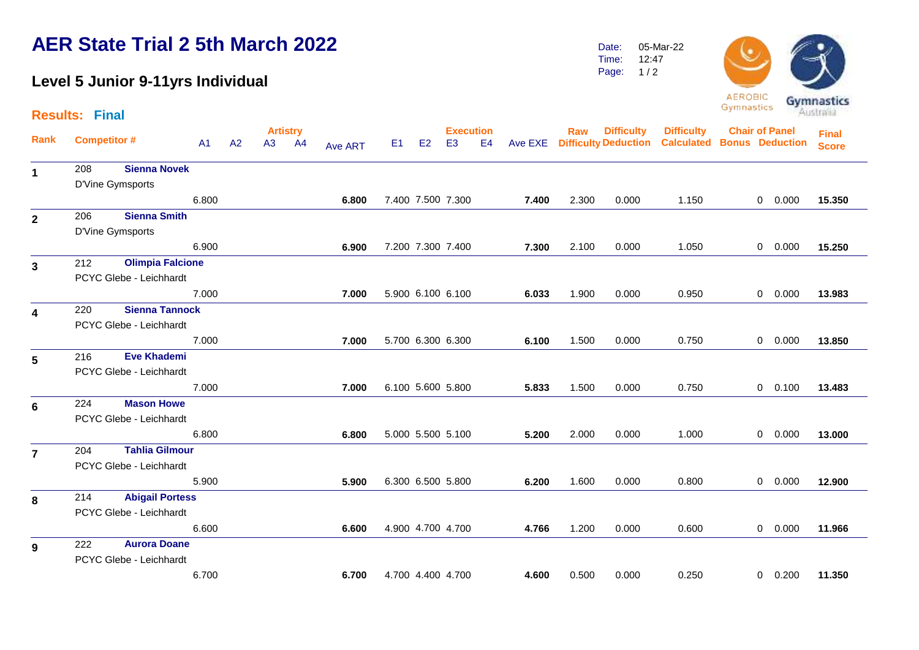#### **Level 5 Junior 9-11yrs Individual**

**Results: Final**

Date: Time: 05-Mar-22 12:47

Page:  $1/2$ 



|                         |                    |                         |                |    |    | <b>Artistry</b> |                |                |    | <b>Execution</b>  |                |       | Raw   | <b>Difficulty</b>            | <b>Difficulty</b>                 | <b>Chair of Panel</b> |                | <b>Final</b> |
|-------------------------|--------------------|-------------------------|----------------|----|----|-----------------|----------------|----------------|----|-------------------|----------------|-------|-------|------------------------------|-----------------------------------|-----------------------|----------------|--------------|
| Rank                    | <b>Competitor#</b> |                         | A <sub>1</sub> | A2 | A3 | A4              | <b>Ave ART</b> | E <sub>1</sub> | E2 | E <sub>3</sub>    | E <sub>4</sub> |       |       | Ave EXE Difficulty Deduction | <b>Calculated Bonus Deduction</b> |                       |                | <b>Score</b> |
| $\mathbf 1$             | 208                | <b>Sienna Novek</b>     |                |    |    |                 |                |                |    |                   |                |       |       |                              |                                   |                       |                |              |
|                         |                    | D'Vine Gymsports        |                |    |    |                 |                |                |    |                   |                |       |       |                              |                                   |                       |                |              |
|                         |                    |                         | 6.800          |    |    |                 | 6.800          |                |    | 7.400 7.500 7.300 |                | 7.400 | 2.300 | 0.000                        | 1.150                             |                       | $0\quad 0.000$ | 15.350       |
| $\mathbf{2}$            | 206                | <b>Sienna Smith</b>     |                |    |    |                 |                |                |    |                   |                |       |       |                              |                                   |                       |                |              |
|                         |                    | D'Vine Gymsports        |                |    |    |                 |                |                |    |                   |                |       |       |                              |                                   |                       |                |              |
|                         |                    |                         | 6.900          |    |    |                 | 6.900          |                |    | 7.200 7.300 7.400 |                | 7.300 | 2.100 | 0.000                        | 1.050                             |                       | $0\quad 0.000$ | 15.250       |
| $\mathbf{3}$            | 212                | <b>Olimpia Falcione</b> |                |    |    |                 |                |                |    |                   |                |       |       |                              |                                   |                       |                |              |
|                         |                    | PCYC Glebe - Leichhardt |                |    |    |                 |                |                |    |                   |                |       |       |                              |                                   |                       |                |              |
|                         |                    |                         | 7.000          |    |    |                 | 7.000          |                |    | 5.900 6.100 6.100 |                | 6.033 | 1.900 | 0.000                        | 0.950                             |                       | 0 0.000        | 13.983       |
| $\overline{\mathbf{4}}$ | 220                | <b>Sienna Tannock</b>   |                |    |    |                 |                |                |    |                   |                |       |       |                              |                                   |                       |                |              |
|                         |                    | PCYC Glebe - Leichhardt |                |    |    |                 |                |                |    |                   |                |       |       |                              |                                   |                       |                |              |
|                         |                    |                         | 7.000          |    |    |                 | 7.000          |                |    | 5.700 6.300 6.300 |                | 6.100 | 1.500 | 0.000                        | 0.750                             |                       | $0\quad 0.000$ | 13.850       |
| 5                       | 216                | <b>Eve Khademi</b>      |                |    |    |                 |                |                |    |                   |                |       |       |                              |                                   |                       |                |              |
|                         |                    | PCYC Glebe - Leichhardt |                |    |    |                 |                |                |    |                   |                |       |       |                              |                                   |                       |                |              |
|                         |                    |                         | 7.000          |    |    |                 | 7.000          |                |    | 6.100 5.600 5.800 |                | 5.833 | 1.500 | 0.000                        | 0.750                             |                       | $0$ 0.100      | 13.483       |
| 6                       | 224                | <b>Mason Howe</b>       |                |    |    |                 |                |                |    |                   |                |       |       |                              |                                   |                       |                |              |
|                         |                    | PCYC Glebe - Leichhardt |                |    |    |                 |                |                |    |                   |                |       |       |                              |                                   |                       |                |              |
|                         |                    |                         | 6.800          |    |    |                 | 6.800          |                |    | 5.000 5.500 5.100 |                | 5.200 | 2.000 | 0.000                        | 1.000                             |                       | 0 0.000        | 13.000       |
| $\overline{7}$          | 204                | <b>Tahlia Gilmour</b>   |                |    |    |                 |                |                |    |                   |                |       |       |                              |                                   |                       |                |              |
|                         |                    | PCYC Glebe - Leichhardt |                |    |    |                 |                |                |    |                   |                |       |       |                              |                                   |                       |                |              |
|                         |                    |                         | 5.900          |    |    |                 | 5.900          |                |    | 6.300 6.500 5.800 |                | 6.200 | 1.600 | 0.000                        | 0.800                             |                       | 0 0.000        | 12.900       |
| 8                       | 214                | <b>Abigail Portess</b>  |                |    |    |                 |                |                |    |                   |                |       |       |                              |                                   |                       |                |              |
|                         |                    | PCYC Glebe - Leichhardt |                |    |    |                 |                |                |    |                   |                |       |       |                              |                                   |                       |                |              |
|                         |                    |                         | 6.600          |    |    |                 | 6.600          |                |    | 4.900 4.700 4.700 |                | 4.766 | 1.200 | 0.000                        | 0.600                             |                       | $0\quad 0.000$ | 11.966       |
| 9                       | 222                | <b>Aurora Doane</b>     |                |    |    |                 |                |                |    |                   |                |       |       |                              |                                   |                       |                |              |
|                         |                    | PCYC Glebe - Leichhardt |                |    |    |                 |                |                |    |                   |                |       |       |                              |                                   |                       |                |              |

6.700 **6.700** 4.700 4.400 4.700 **4.600** 0.500 0.000 0.250 0 0.200 **11.350**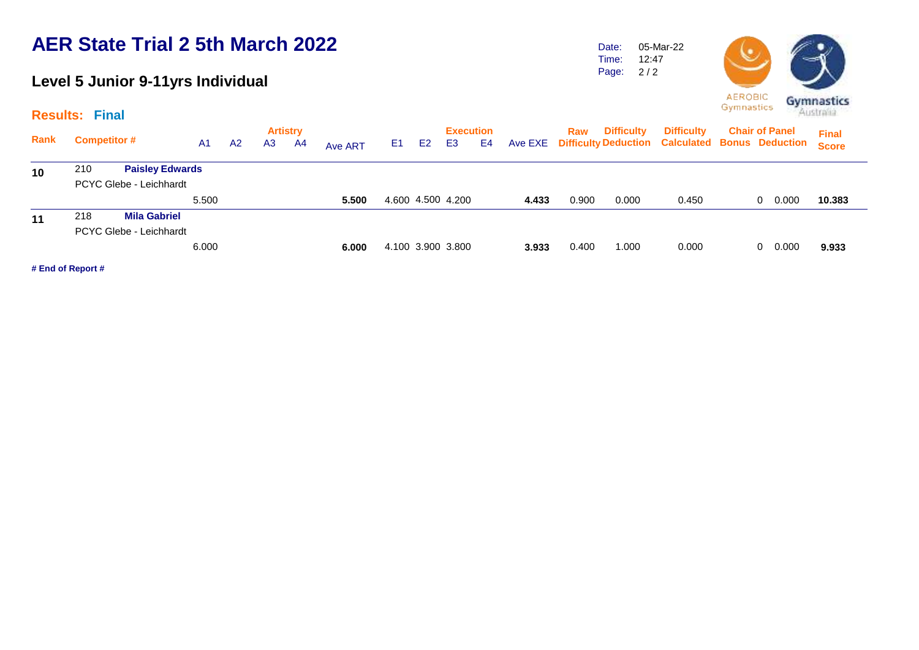### **Level 5 Junior 9-11yrs Individual**

Date: Time: Page: 05-Mar-22 12:47 2 / 2



|      | <b>Results: Final</b> |                         |                |                |                |                       |         |                |    |                                    |    |       |       |                   |                                                                              | <b>Dymitasucs</b> |                       | Australia                    |
|------|-----------------------|-------------------------|----------------|----------------|----------------|-----------------------|---------|----------------|----|------------------------------------|----|-------|-------|-------------------|------------------------------------------------------------------------------|-------------------|-----------------------|------------------------------|
| Rank | <b>Competitor #</b>   |                         | A <sub>1</sub> | A <sub>2</sub> | A <sub>3</sub> | <b>Artistry</b><br>A4 | Ave ART | E <sub>1</sub> | E2 | <b>Execution</b><br>E <sub>3</sub> | E4 |       | Raw   | <b>Difficulty</b> | <b>Difficulty</b><br>Ave EXE Difficulty Deduction Calculated Bonus Deduction |                   | <b>Chair of Panel</b> | <b>Final</b><br><b>Score</b> |
| 10   | 210                   | <b>Paisley Edwards</b>  |                |                |                |                       |         |                |    |                                    |    |       |       |                   |                                                                              |                   |                       |                              |
|      |                       | PCYC Glebe - Leichhardt |                |                |                |                       |         |                |    |                                    |    |       |       |                   |                                                                              |                   |                       |                              |
|      |                       |                         | 5.500          |                |                |                       | 5.500   |                |    | 4.600 4.500 4.200                  |    | 4.433 | 0.900 | 0.000             | 0.450                                                                        |                   | 0.000<br>$\Omega$     | 10.383                       |
| 11   | 218                   | <b>Mila Gabriel</b>     |                |                |                |                       |         |                |    |                                    |    |       |       |                   |                                                                              |                   |                       |                              |
|      |                       | PCYC Glebe - Leichhardt |                |                |                |                       |         |                |    |                                    |    |       |       |                   |                                                                              |                   |                       |                              |
|      |                       |                         | 6.000          |                |                |                       | 6.000   |                |    | 4.100 3.900 3.800                  |    | 3.933 | 0.400 | 1.000             | 0.000                                                                        |                   | 0.000<br>0            | 9.933                        |
|      | # End of Report #     |                         |                |                |                |                       |         |                |    |                                    |    |       |       |                   |                                                                              |                   |                       |                              |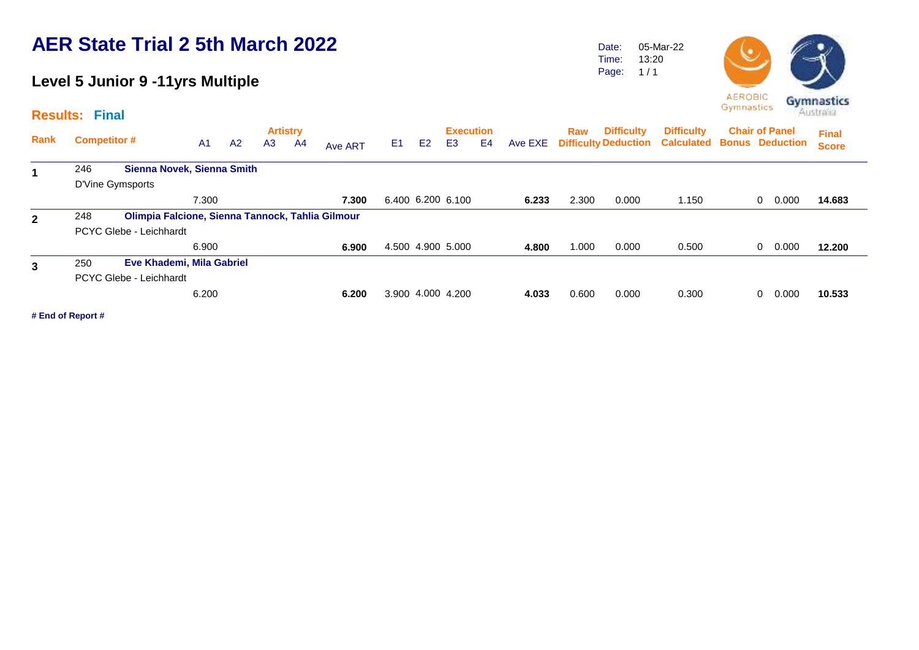#### **Level 5 Junior 9 -11yrs Multiple**

**Results: Final**

| .            |                     | .                                                |                |    |                |                 |         |    |                |                   |    |         |       |                   |                                                        |                       |              |
|--------------|---------------------|--------------------------------------------------|----------------|----|----------------|-----------------|---------|----|----------------|-------------------|----|---------|-------|-------------------|--------------------------------------------------------|-----------------------|--------------|
|              |                     |                                                  |                |    |                | <b>Artistry</b> |         |    |                | <b>Execution</b>  |    |         | Raw   | <b>Difficulty</b> | <b>Difficulty</b>                                      | <b>Chair of Panel</b> | <b>Final</b> |
| Rank         | <b>Competitor #</b> |                                                  | A <sub>1</sub> | A2 | A <sub>3</sub> | A4              | Ave ART | E1 | E <sub>2</sub> | E <sub>3</sub>    | E4 | Ave EXE |       |                   | <b>Difficulty Deduction Calculated Bonus Deduction</b> |                       | <b>Score</b> |
| 1            | 246                 | Sienna Novek, Sienna Smith                       |                |    |                |                 |         |    |                |                   |    |         |       |                   |                                                        |                       |              |
|              |                     | D'Vine Gymsports                                 |                |    |                |                 |         |    |                |                   |    |         |       |                   |                                                        |                       |              |
|              |                     |                                                  | 7.300          |    |                |                 | 7.300   |    |                | 6.400 6.200 6.100 |    | 6.233   | 2.300 | 0.000             | 1.150                                                  | 0.000<br>$\Omega$     | 14.683       |
| $\mathbf{2}$ | 248                 | Olimpia Falcione, Sienna Tannock, Tahlia Gilmour |                |    |                |                 |         |    |                |                   |    |         |       |                   |                                                        |                       |              |
|              |                     | PCYC Glebe - Leichhardt                          |                |    |                |                 |         |    |                |                   |    |         |       |                   |                                                        |                       |              |
|              |                     |                                                  | 6.900          |    |                |                 | 6.900   |    |                | 4.500 4.900 5.000 |    | 4.800   | 1.000 | 0.000             | 0.500                                                  | 0.000<br>$\Omega$     | 12.200       |
| 3            | 250                 | Eve Khademi, Mila Gabriel                        |                |    |                |                 |         |    |                |                   |    |         |       |                   |                                                        |                       |              |
|              |                     | PCYC Glebe - Leichhardt                          |                |    |                |                 |         |    |                |                   |    |         |       |                   |                                                        |                       |              |
|              |                     |                                                  | 6.200          |    |                |                 | 6.200   |    |                | 3.900 4.000 4.200 |    | 4.033   | 0.600 | 0.000             | 0.300                                                  | 0.000<br>0            | 10.533       |
|              |                     |                                                  |                |    |                |                 |         |    |                |                   |    |         |       |                   |                                                        |                       |              |

**# End of Report #**



Date: Time: Page:

05-Mar-22 13:20  $1/1$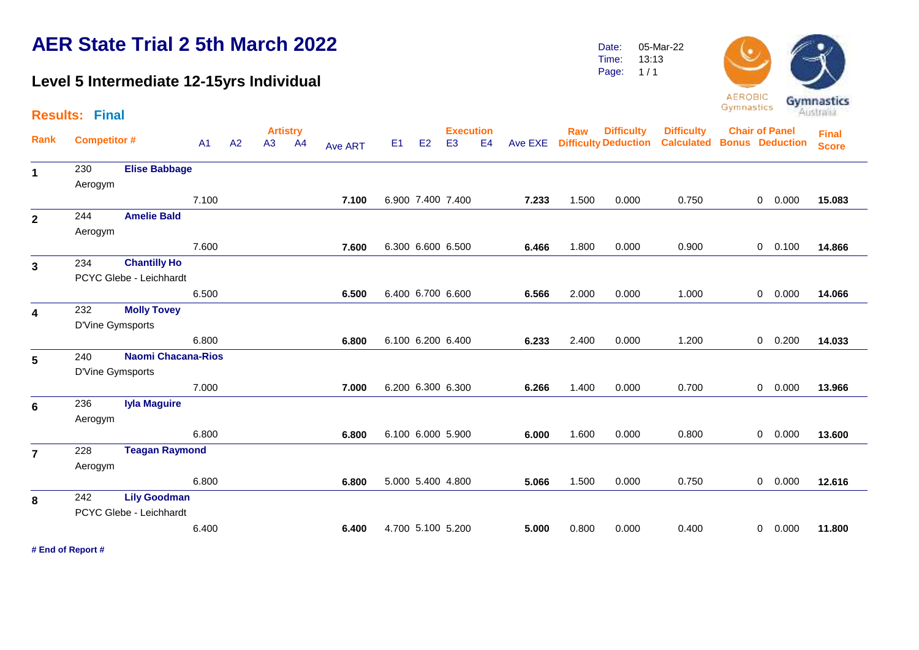#### **Level 5 Intermediate 12-15yrs Individual**

Date: Time: 05-Mar-22 13:13

Page:  $1/1$ 



|                         | <b>Results: Final</b>   |                                                |       |    |                 |    |         |    |    |                   |                |       |       |                              |                                   |                       |                |           | Australia    |
|-------------------------|-------------------------|------------------------------------------------|-------|----|-----------------|----|---------|----|----|-------------------|----------------|-------|-------|------------------------------|-----------------------------------|-----------------------|----------------|-----------|--------------|
|                         |                         |                                                |       |    | <b>Artistry</b> |    |         |    |    | <b>Execution</b>  |                |       | Raw   | <b>Difficulty</b>            | <b>Difficulty</b>                 | <b>Chair of Panel</b> |                |           | <b>Final</b> |
| <b>Rank</b>             | <b>Competitor #</b>     |                                                | A1    | A2 | A3              | AA | Ave ART | E1 | E2 | E <sub>3</sub>    | E <sub>4</sub> |       |       | Ave EXE Difficulty Deduction | <b>Calculated Bonus Deduction</b> |                       |                |           | <b>Score</b> |
| $\mathbf{1}$            | 230<br>Aerogym          | <b>Elise Babbage</b>                           |       |    |                 |    |         |    |    |                   |                |       |       |                              |                                   |                       |                |           |              |
|                         |                         |                                                | 7.100 |    |                 |    | 7.100   |    |    | 6.900 7.400 7.400 |                | 7.233 | 1.500 | 0.000                        | 0.750                             |                       | $\overline{0}$ | 0.000     | 15.083       |
| $\mathbf{2}$            | 244<br>Aerogym          | <b>Amelie Bald</b>                             |       |    |                 |    |         |    |    |                   |                |       |       |                              |                                   |                       |                |           |              |
|                         |                         |                                                | 7.600 |    |                 |    | 7.600   |    |    | 6.300 6.600 6.500 |                | 6.466 | 1.800 | 0.000                        | 0.900                             |                       |                | $0$ 0.100 | 14.866       |
| $\mathbf{3}$            | 234                     | <b>Chantilly Ho</b><br>PCYC Glebe - Leichhardt |       |    |                 |    |         |    |    |                   |                |       |       |                              |                                   |                       |                |           |              |
|                         |                         |                                                | 6.500 |    |                 |    | 6.500   |    |    | 6.400 6.700 6.600 |                | 6.566 | 2.000 | 0.000                        | 1.000                             |                       |                | 0 0.000   | 14.066       |
| $\overline{\mathbf{4}}$ | 232<br>D'Vine Gymsports | <b>Molly Tovey</b>                             |       |    |                 |    |         |    |    |                   |                |       |       |                              |                                   |                       |                |           |              |
|                         |                         |                                                | 6.800 |    |                 |    | 6.800   |    |    | 6.100 6.200 6.400 |                | 6.233 | 2.400 | 0.000                        | 1.200                             |                       |                | $0$ 0.200 | 14.033       |
| 5                       | 240<br>D'Vine Gymsports | <b>Naomi Chacana-Rios</b>                      |       |    |                 |    |         |    |    |                   |                |       |       |                              |                                   |                       |                |           |              |
|                         |                         |                                                | 7.000 |    |                 |    | 7.000   |    |    | 6.200 6.300 6.300 |                | 6.266 | 1.400 | 0.000                        | 0.700                             |                       |                | 0 0.000   | 13.966       |
| 6                       | 236<br>Aerogym          | <b>Iyla Maguire</b>                            |       |    |                 |    |         |    |    |                   |                |       |       |                              |                                   |                       |                |           |              |
|                         |                         |                                                | 6.800 |    |                 |    | 6.800   |    |    | 6.100 6.000 5.900 |                | 6.000 | 1.600 | 0.000                        | 0.800                             |                       | $\overline{0}$ | 0.000     | 13.600       |
| $\overline{7}$          | 228<br>Aerogym          | <b>Teagan Raymond</b>                          |       |    |                 |    |         |    |    |                   |                |       |       |                              |                                   |                       |                |           |              |
|                         |                         |                                                | 6.800 |    |                 |    | 6.800   |    |    | 5.000 5.400 4.800 |                | 5.066 | 1.500 | 0.000                        | 0.750                             |                       | $\overline{0}$ | 0.000     | 12.616       |
| 8                       | 242                     | <b>Lily Goodman</b>                            |       |    |                 |    |         |    |    |                   |                |       |       |                              |                                   |                       |                |           |              |
|                         |                         | PCYC Glebe - Leichhardt                        |       |    |                 |    |         |    |    |                   |                |       |       |                              |                                   |                       |                |           |              |
|                         |                         |                                                | 6.400 |    |                 |    | 6.400   |    |    | 4.700 5.100 5.200 |                | 5.000 | 0.800 | 0.000                        | 0.400                             |                       | $\overline{0}$ | 0.000     | 11.800       |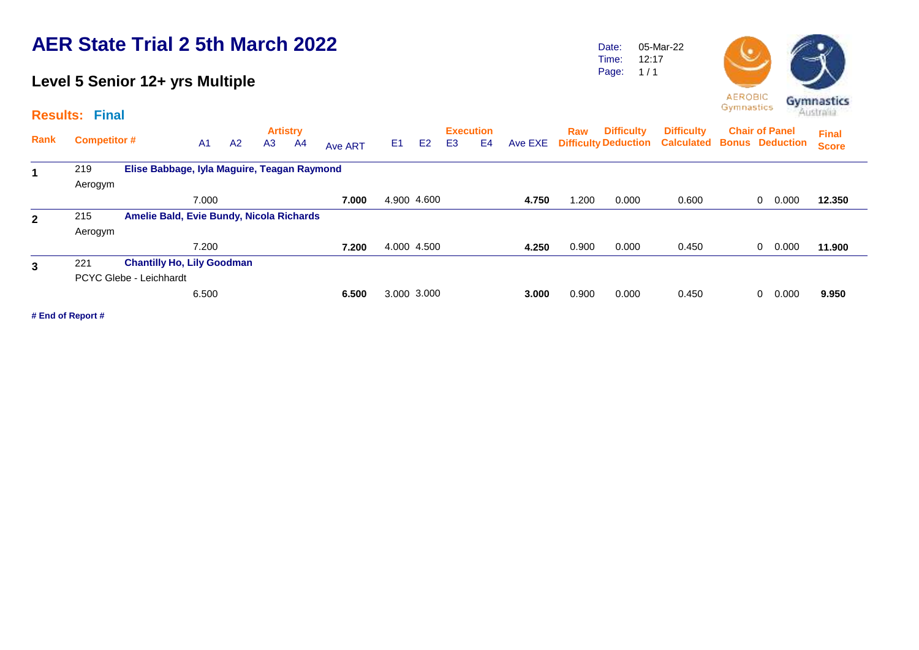### **Level 5 Senior 12+ yrs Multiple**

**Results: Final**

Date: Time: Page: 05-Mar-22 12:17  $1/1$ 



| Rank           | <b>Competitor #</b> |                                             | A <sub>1</sub> | A2 | A <sub>3</sub> | <b>Artistry</b><br>A4 | Ave ART | E <sub>1</sub> | E <sub>2</sub> | E <sub>3</sub> | <b>Execution</b><br>E4 | Ave EXE | Raw   | <b>Difficulty</b> | <b>Difficulty</b><br><b>Difficulty Deduction Calculated Bonus Deduction</b> | <b>Chair of Panel</b> |       | <b>Final</b><br><b>Score</b> |
|----------------|---------------------|---------------------------------------------|----------------|----|----------------|-----------------------|---------|----------------|----------------|----------------|------------------------|---------|-------|-------------------|-----------------------------------------------------------------------------|-----------------------|-------|------------------------------|
| 1              | 219                 | Elise Babbage, Iyla Maguire, Teagan Raymond |                |    |                |                       |         |                |                |                |                        |         |       |                   |                                                                             |                       |       |                              |
|                | Aerogym             |                                             |                |    |                |                       |         |                |                |                |                        |         |       |                   |                                                                             |                       |       |                              |
|                |                     |                                             | 7.000          |    |                |                       | 7.000   |                | 4.900 4.600    |                |                        | 4.750   | .200  | 0.000             | 0.600                                                                       | 0                     | 0.000 | 12.350                       |
| $\overline{2}$ | 215                 | Amelie Bald, Evie Bundy, Nicola Richards    |                |    |                |                       |         |                |                |                |                        |         |       |                   |                                                                             |                       |       |                              |
|                | Aerogym             |                                             |                |    |                |                       |         |                |                |                |                        |         |       |                   |                                                                             |                       |       |                              |
|                |                     |                                             | 7.200          |    |                |                       | 7.200   |                | 4.000 4.500    |                |                        | 4.250   | 0.900 | 0.000             | 0.450                                                                       | $\mathbf{0}$          | 0.000 | 11.900                       |
| 3              | 221                 | <b>Chantilly Ho, Lily Goodman</b>           |                |    |                |                       |         |                |                |                |                        |         |       |                   |                                                                             |                       |       |                              |
|                |                     | PCYC Glebe - Leichhardt                     |                |    |                |                       |         |                |                |                |                        |         |       |                   |                                                                             |                       |       |                              |
|                |                     |                                             | 6.500          |    |                |                       | 6.500   |                | 3.000 3.000    |                |                        | 3.000   | 0.900 | 0.000             | 0.450                                                                       | 0                     | 0.000 | 9.950                        |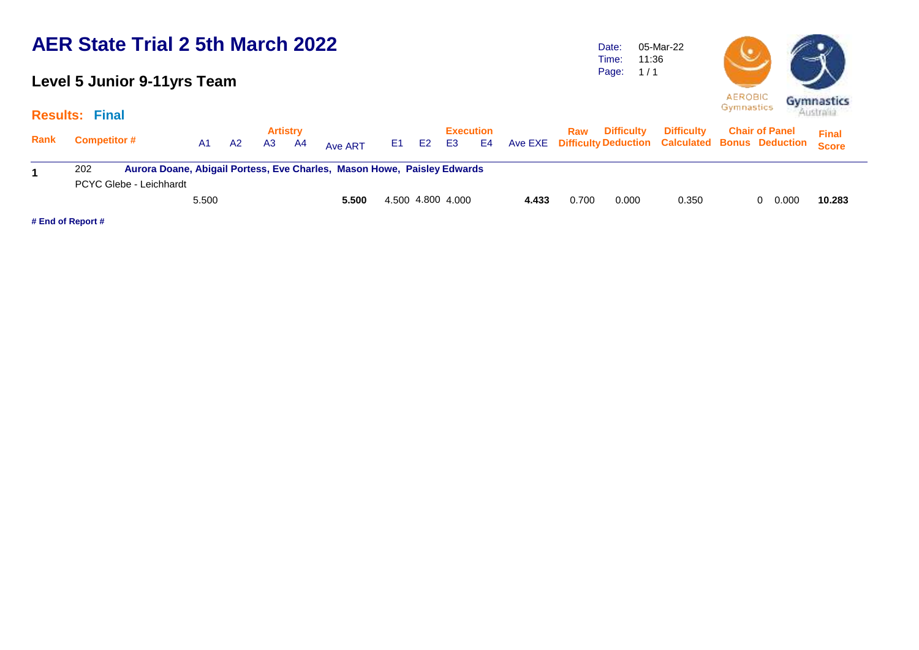#### **Level 5 Junior 9-11yrs Team**

**Results: Final**

Date: Time: Page: 05-Mar-22 11:36  $1/1$ 



|             | 11000110. IIIQI                                                                |       |           |                 |      |         |          |                   |       |       |                       |                   |                                                            |              |
|-------------|--------------------------------------------------------------------------------|-------|-----------|-----------------|------|---------|----------|-------------------|-------|-------|-----------------------|-------------------|------------------------------------------------------------|--------------|
|             |                                                                                |       |           | <b>Artistry</b> |      |         |          | <b>Execution</b>  |       |       | <b>Raw</b> Difficulty | <b>Difficulty</b> | <b>Chair of Panel</b>                                      | <b>Final</b> |
| <b>Rank</b> | <b>Competitor #</b>                                                            | A1    | <b>A2</b> | A3              | - A4 | Ave ART | E1 E2 E3 |                   |       |       |                       |                   | E4 Ave EXE Difficulty Deduction Calculated Bonus Deduction | <b>Score</b> |
|             | Aurora Doane, Abigail Portess, Eve Charles, Mason Howe, Paisley Edwards<br>202 |       |           |                 |      |         |          |                   |       |       |                       |                   |                                                            |              |
|             | PCYC Glebe - Leichhardt                                                        |       |           |                 |      |         |          |                   |       |       |                       |                   |                                                            |              |
|             |                                                                                | 5.500 |           |                 |      | 5.500   |          | 4.500 4.800 4.000 | 4.433 | 0.700 | 0.000                 | 0.350             | 0.000<br>0                                                 | 10.283       |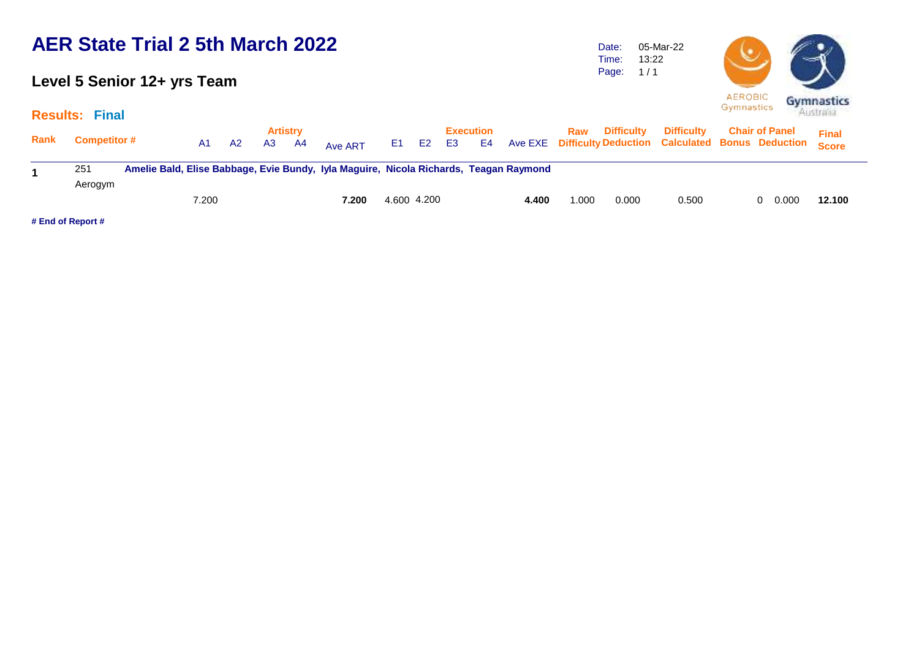#### **Level 5 Senior 12+ yrs Team**

#### **Results: Final**

Date: Time: Page: 1 / 1 05-Mar-22 13:22



|  |                                                                                                   | <b>AEROBIC</b><br>Gymnastics | Gymnastics<br>Australia      |  |
|--|---------------------------------------------------------------------------------------------------|------------------------------|------------------------------|--|
|  | Raw Difficulty Difficulty Chair of Panel<br>e EXE Difficulty Deduction Calculated Bonus Deduction |                              | <b>Final</b><br><b>Score</b> |  |

| Rank              | <b>Competitor #</b> | A1    | - A2 | Artistry<br>A <sub>3</sub> | A4 | Ave ART                                                                               | E1.         | E <sub>2</sub> | <b>E3</b> | <b>Execution</b><br>E4 |       | Raw  | Difficulty | <b>Difficulty</b><br>Ave EXE Difficulty Deduction Calculated Bonus Deduction Score | <b>Chair of Panel</b> | <b>Final</b> |
|-------------------|---------------------|-------|------|----------------------------|----|---------------------------------------------------------------------------------------|-------------|----------------|-----------|------------------------|-------|------|------------|------------------------------------------------------------------------------------|-----------------------|--------------|
|                   | 251<br>Aerogym      |       |      |                            |    | Amelie Bald, Elise Babbage, Evie Bundy, Iyla Maguire, Nicola Richards, Teagan Raymond |             |                |           |                        |       |      |            |                                                                                    |                       |              |
|                   |                     | 7.200 |      |                            |    | 7.200                                                                                 | 4.600 4.200 |                |           |                        | 4.400 | .000 | 0.000      | 0.500                                                                              | 0.000<br>0            | 12.100       |
| # End of Report # |                     |       |      |                            |    |                                                                                       |             |                |           |                        |       |      |            |                                                                                    |                       |              |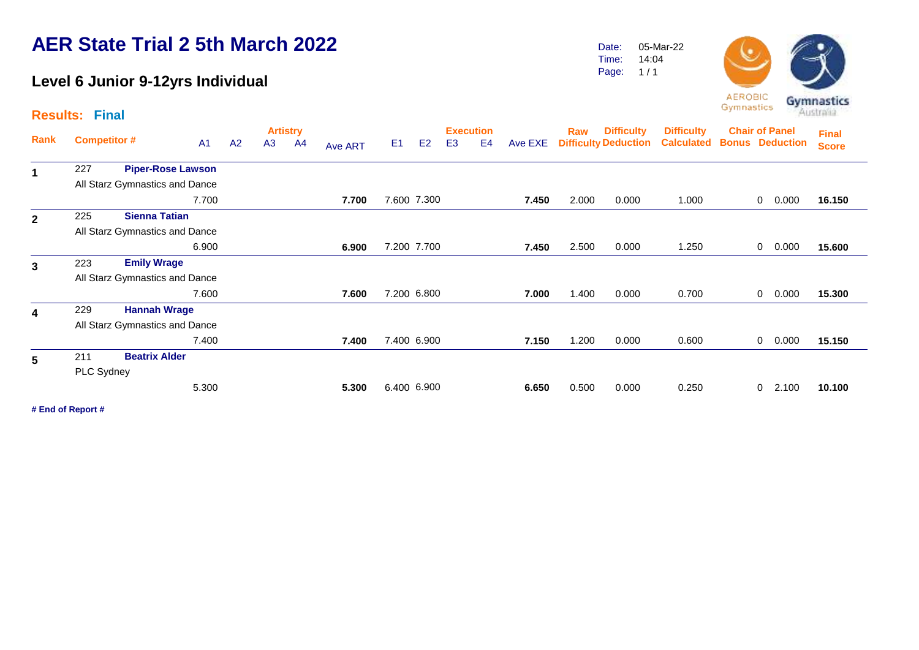#### **Level 6 Junior 9-12yrs Individual**

Date: Time: 05-Mar-22 14:04

Page:  $1/1$ 



|              | <b>Results: Final</b> |                                |                |    |    |                                   |         |                |                |                                    |    |         |       |                                                  |                                        | - 1<br>.                                        |   |       | Australia                    |
|--------------|-----------------------|--------------------------------|----------------|----|----|-----------------------------------|---------|----------------|----------------|------------------------------------|----|---------|-------|--------------------------------------------------|----------------------------------------|-------------------------------------------------|---|-------|------------------------------|
| Rank         |                       | <b>Competitor #</b>            | A <sub>1</sub> | A2 | A3 | <b>Artistry</b><br>A <sub>4</sub> | Ave ART | E <sub>1</sub> | E <sub>2</sub> | <b>Execution</b><br>E <sub>3</sub> | E4 | Ave EXE | Raw   | <b>Difficulty</b><br><b>Difficulty Deduction</b> | <b>Difficulty</b><br><b>Calculated</b> | <b>Chair of Panel</b><br><b>Bonus Deduction</b> |   |       | <b>Final</b><br><b>Score</b> |
| $\mathbf 1$  | 227                   | <b>Piper-Rose Lawson</b>       |                |    |    |                                   |         |                |                |                                    |    |         |       |                                                  |                                        |                                                 |   |       |                              |
|              |                       | All Starz Gymnastics and Dance |                |    |    |                                   |         |                |                |                                    |    |         |       |                                                  |                                        |                                                 |   |       |                              |
|              |                       |                                | 7.700          |    |    |                                   | 7.700   |                | 7.600 7.300    |                                    |    | 7.450   | 2.000 | 0.000                                            | 1.000                                  |                                                 | 0 | 0.000 | 16.150                       |
| $\mathbf{2}$ | 225                   | <b>Sienna Tatian</b>           |                |    |    |                                   |         |                |                |                                    |    |         |       |                                                  |                                        |                                                 |   |       |                              |
|              |                       | All Starz Gymnastics and Dance |                |    |    |                                   |         |                |                |                                    |    |         |       |                                                  |                                        |                                                 |   |       |                              |
|              |                       |                                | 6.900          |    |    |                                   | 6.900   |                | 7.200 7.700    |                                    |    | 7.450   | 2.500 | 0.000                                            | 1.250                                  |                                                 | 0 | 0.000 | 15.600                       |
| $\mathbf{3}$ | 223                   | <b>Emily Wrage</b>             |                |    |    |                                   |         |                |                |                                    |    |         |       |                                                  |                                        |                                                 |   |       |                              |
|              |                       | All Starz Gymnastics and Dance |                |    |    |                                   |         |                |                |                                    |    |         |       |                                                  |                                        |                                                 |   |       |                              |
|              |                       |                                | 7.600          |    |    |                                   | 7.600   |                | 7.200 6.800    |                                    |    | 7.000   | 1.400 | 0.000                                            | 0.700                                  |                                                 | 0 | 0.000 | 15.300                       |
| 4            | 229                   | <b>Hannah Wrage</b>            |                |    |    |                                   |         |                |                |                                    |    |         |       |                                                  |                                        |                                                 |   |       |                              |
|              |                       | All Starz Gymnastics and Dance |                |    |    |                                   |         |                |                |                                    |    |         |       |                                                  |                                        |                                                 |   |       |                              |
|              |                       |                                | 7.400          |    |    |                                   | 7.400   |                | 7.400 6.900    |                                    |    | 7.150   | 1.200 | 0.000                                            | 0.600                                  |                                                 | 0 | 0.000 | 15.150                       |
| 5            | 211                   | <b>Beatrix Alder</b>           |                |    |    |                                   |         |                |                |                                    |    |         |       |                                                  |                                        |                                                 |   |       |                              |
|              | PLC Sydney            |                                |                |    |    |                                   |         |                |                |                                    |    |         |       |                                                  |                                        |                                                 |   |       |                              |
|              |                       |                                | 5.300          |    |    |                                   | 5.300   |                | 6.400 6.900    |                                    |    | 6.650   | 0.500 | 0.000                                            | 0.250                                  |                                                 | 0 | 2.100 | 10.100                       |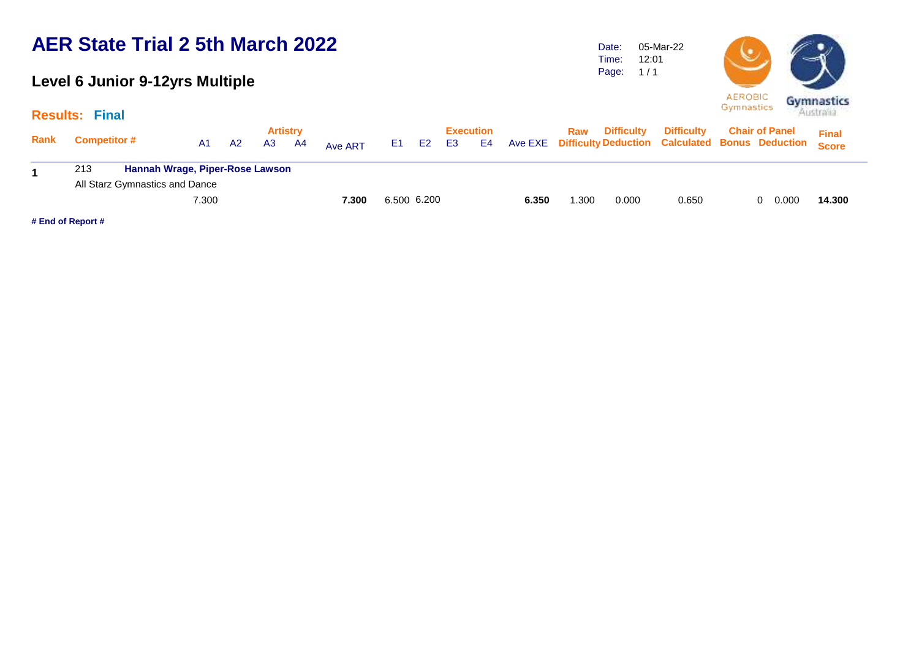#### **Level 6 Junior 9-12yrs Multiple**

**Results: Final**

Date: Time: Page: 05-Mar-22 12:01  $1/1$ 



|      | $\sim$                                        |       |                |                       |    |         |             |       |                        |    |       |      |                   |                   |                                                                                        |              |
|------|-----------------------------------------------|-------|----------------|-----------------------|----|---------|-------------|-------|------------------------|----|-------|------|-------------------|-------------------|----------------------------------------------------------------------------------------|--------------|
| Rank | <b>Competitor #</b>                           | A1    | A <sub>2</sub> | <b>Artistry</b><br>A3 | A4 | Ave ART |             | E1 E2 | Execution<br><b>E3</b> | E4 |       | Raw  | <b>Difficulty</b> | <b>Difficulty</b> | <b>Chair of Panel</b><br>Ave EXE Difficulty Deduction Calculated Bonus Deduction Score | <b>Final</b> |
|      | <b>Hannah Wrage, Piper-Rose Lawson</b><br>213 |       |                |                       |    |         |             |       |                        |    |       |      |                   |                   |                                                                                        |              |
|      | All Starz Gymnastics and Dance                |       |                |                       |    |         |             |       |                        |    |       |      |                   |                   |                                                                                        |              |
|      |                                               | 7.300 |                |                       |    | 7.300   | 6.500 6.200 |       |                        |    | 6.350 | .300 | 0.000             | 0.650             | 0.000                                                                                  | 14.300       |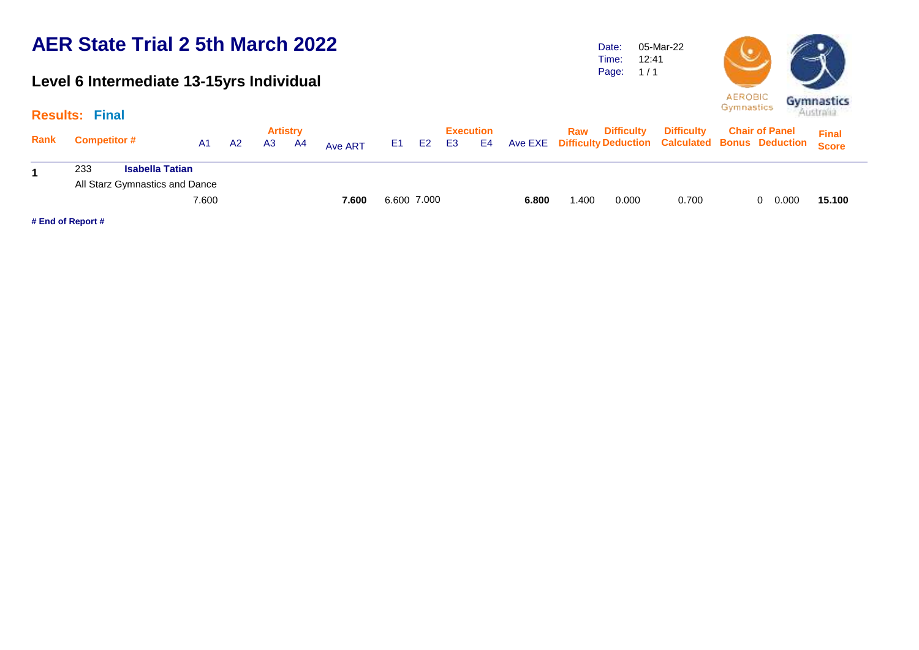#### **Level 6 Intermediate 13-15yrs Individual**

Date: Time: Page: 05-Mar-22 12:41  $1/1$ 



|      | <b>Results: Final</b> |                                |       |    |                |                       |         |             |                |                 |    |       |      |                   |                                                                                    |                       | Australia    |
|------|-----------------------|--------------------------------|-------|----|----------------|-----------------------|---------|-------------|----------------|-----------------|----|-------|------|-------------------|------------------------------------------------------------------------------------|-----------------------|--------------|
| Rank | <b>Competitor #</b>   |                                | A1    | A2 | A <sub>3</sub> | <b>Artistry</b><br>A4 | Ave ART | E1 i        | E <sub>2</sub> | Execution<br>E3 | E4 |       | Raw  | <b>Difficulty</b> | <b>Difficulty</b><br>Ave EXE Difficulty Deduction Calculated Bonus Deduction Score | <b>Chair of Panel</b> | <b>Final</b> |
| 1    | 233                   | <b>Isabella Tatian</b>         |       |    |                |                       |         |             |                |                 |    |       |      |                   |                                                                                    |                       |              |
|      |                       | All Starz Gymnastics and Dance |       |    |                |                       |         |             |                |                 |    |       |      |                   |                                                                                    |                       |              |
|      |                       |                                | 7.600 |    |                |                       | 7.600   | 6.600 7.000 |                |                 |    | 6.800 | .400 | 0.000             | 0.700                                                                              | 0.000<br>0.           | 15.100       |
|      |                       |                                |       |    |                |                       |         |             |                |                 |    |       |      |                   |                                                                                    |                       |              |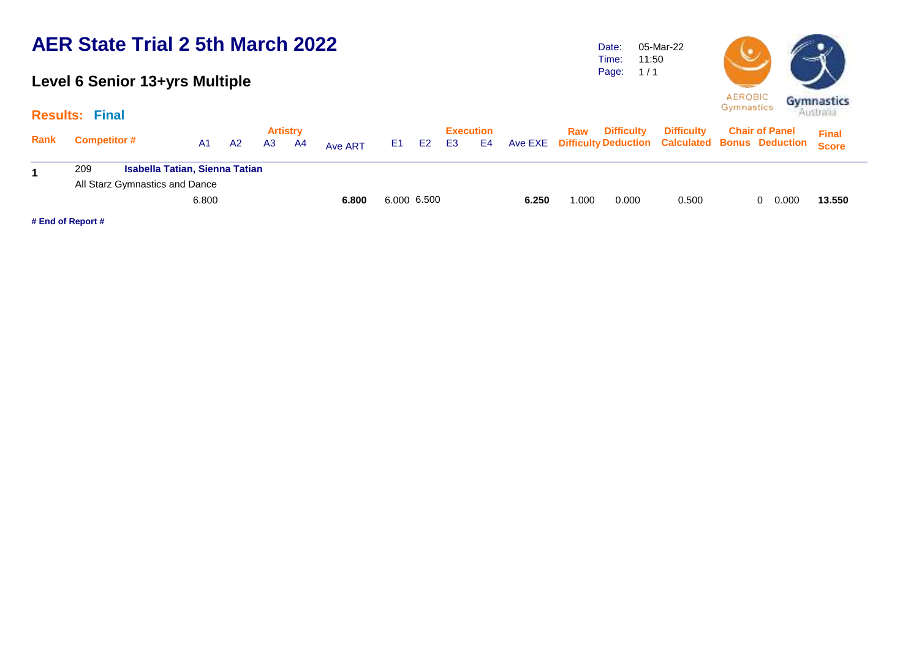### **Level 6 Senior 13+yrs Multiple**

**Results: Final**

Date: Time: Page: 05-Mar-22 11:50  $1/1$ 



|        |                   | <b>AEROBIC</b><br>Gymnastics | Gymnas<br>Australi |
|--------|-------------------|------------------------------|--------------------|
| icultv | <b>Difficulty</b> | <b>Chair of Panel</b>        | cw                 |

| Rank | <b>Competitor #</b>                          | A1 | A2 | <b>Artistry</b><br>A <sub>3</sub> | A4 | Ave ART     | E1 = | E <sub>2</sub> | <b>E3</b> | Execution<br>E4 |       | Raw   | <b>Difficulty</b> | <b>Difficulty</b><br>Ave EXE Difficulty Deduction Calculated Bonus Deduction Score | <b>Chair of Panel</b> | <b>Final</b> |
|------|----------------------------------------------|----|----|-----------------------------------|----|-------------|------|----------------|-----------|-----------------|-------|-------|-------------------|------------------------------------------------------------------------------------|-----------------------|--------------|
|      | <b>Isabella Tatian, Sienna Tatian</b><br>209 |    |    |                                   |    |             |      |                |           |                 |       |       |                   |                                                                                    |                       |              |
|      | All Starz Gymnastics and Dance               |    |    |                                   |    |             |      |                |           |                 |       |       |                   |                                                                                    |                       |              |
|      |                                              |    |    | 6.800                             |    | 6.000 6.500 |      |                | 6.250     | 000. ا          | 0.000 | 0.500 | 0.000<br>0        | 13.550                                                                             |                       |              |
|      | # End of Report #                            |    |    |                                   |    |             |      |                |           |                 |       |       |                   |                                                                                    |                       |              |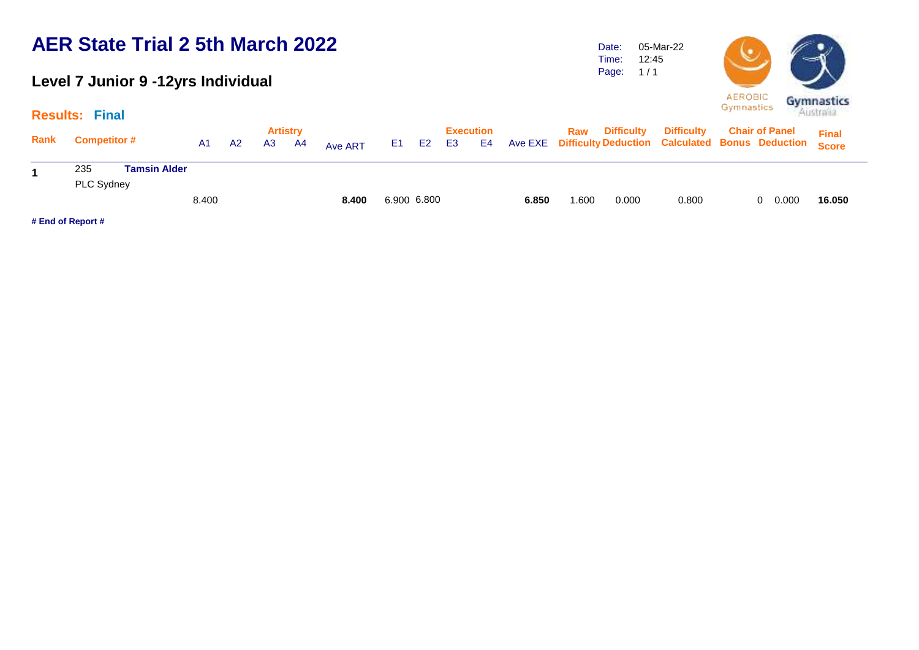#### **Level 7 Junior 9 -12yrs Individual**

Time: Page: 12:45  $1/1$ 

05-Mar-22

Date:



|      | <b>Results: Final</b>                           |       |    |                |                       |         |             |                |    |                        |       |       |                       |                                                                                    | <b>Australia</b>      |              |
|------|-------------------------------------------------|-------|----|----------------|-----------------------|---------|-------------|----------------|----|------------------------|-------|-------|-----------------------|------------------------------------------------------------------------------------|-----------------------|--------------|
| Rank | <b>Competitor #</b>                             | A1    | A2 | A <sub>3</sub> | <b>Artistry</b><br>A4 | Ave ART | E1 =        | E <sub>2</sub> | E3 | <b>Execution</b><br>E4 |       |       | <b>Raw</b> Difficulty | <b>Difficulty</b><br>Ave EXE Difficulty Deduction Calculated Bonus Deduction Score | <b>Chair of Panel</b> | <b>Final</b> |
|      | <b>Tamsin Alder</b><br>235<br><b>PLC Sydney</b> |       |    |                |                       |         |             |                |    |                        |       |       |                       |                                                                                    |                       |              |
|      |                                                 | 8.400 |    |                |                       | 8.400   | 6.900 6.800 |                |    |                        | 6.850 | 0.600 | 0.000                 | 0.800                                                                              | 0.000<br>$\Omega$     | 16.050       |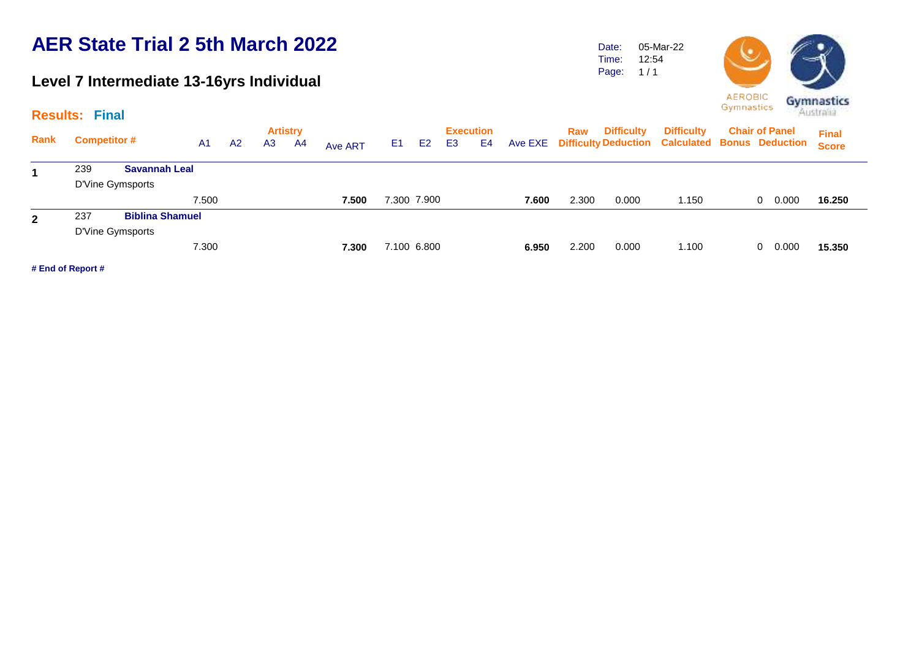### **Level 7 Intermediate 13-16yrs Individual**

Date: Time: Page: 1 / 1 05-Mar-22 12:54



| <b>AEROBIC</b><br>Gymnastics | Gymnastic<br>Australia |
|------------------------------|------------------------|
|                              |                        |

|              | <b>Results: Final</b> |                        |                |                |                       |         |    |                |                |                        |         |       |                   |                                                                             | ----------- |                       | Australia                    |
|--------------|-----------------------|------------------------|----------------|----------------|-----------------------|---------|----|----------------|----------------|------------------------|---------|-------|-------------------|-----------------------------------------------------------------------------|-------------|-----------------------|------------------------------|
| Rank         | <b>Competitor #</b>   | A <sub>1</sub>         | A <sub>2</sub> | A <sub>3</sub> | <b>Artistry</b><br>A4 | Ave ART | E1 | E <sub>2</sub> | E <sub>3</sub> | <b>Execution</b><br>E4 | Ave EXE | Raw   | <b>Difficulty</b> | <b>Difficulty</b><br><b>Difficulty Deduction Calculated Bonus Deduction</b> |             | <b>Chair of Panel</b> | <b>Final</b><br><b>Score</b> |
| 1            | 239                   | <b>Savannah Leal</b>   |                |                |                       |         |    |                |                |                        |         |       |                   |                                                                             |             |                       |                              |
|              | D'Vine Gymsports      |                        |                |                |                       |         |    |                |                |                        |         |       |                   |                                                                             |             |                       |                              |
|              |                       | 7.500                  |                |                |                       | 7.500   |    | 7.300 7.900    |                |                        | 7.600   | 2.300 | 0.000             | 1.150                                                                       |             | 0.000<br>0            | 16.250                       |
| $\mathbf{2}$ | 237                   | <b>Biblina Shamuel</b> |                |                |                       |         |    |                |                |                        |         |       |                   |                                                                             |             |                       |                              |
|              | D'Vine Gymsports      |                        |                |                |                       |         |    |                |                |                        |         |       |                   |                                                                             |             |                       |                              |
|              |                       | 7.300                  |                |                |                       | 7.300   |    | 7.100 6.800    |                |                        | 6.950   | 2.200 | 0.000             | 1.100                                                                       |             | 0.000<br>$\mathbf{0}$ | 15.350                       |
|              | # End of Report #     |                        |                |                |                       |         |    |                |                |                        |         |       |                   |                                                                             |             |                       |                              |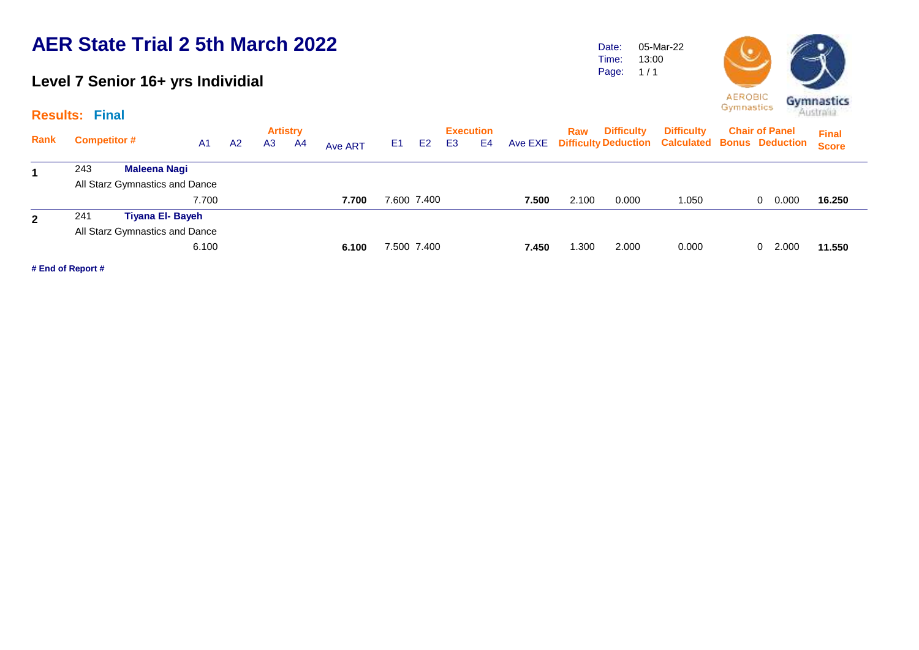#### **Level 7 Senior 16+ yrs Individial**

**Results: Final**

|     |              |                     |                                                                                                      |                |    |                 |     |                |    |                            |                  | Raw   | <b>Difficulty</b> | <b>Difficulty</b> |       | <b>Final</b>                                                                               |
|-----|--------------|---------------------|------------------------------------------------------------------------------------------------------|----------------|----|-----------------|-----|----------------|----|----------------------------|------------------|-------|-------------------|-------------------|-------|--------------------------------------------------------------------------------------------|
|     |              | A <sub>1</sub>      | A2                                                                                                   | A <sub>3</sub> | A4 | Ave ART         | E1. | E <sub>2</sub> | E3 | E4                         |                  |       |                   |                   |       | <b>Score</b>                                                                               |
| 243 | Maleena Nagi |                     |                                                                                                      |                |    |                 |     |                |    |                            |                  |       |                   |                   |       |                                                                                            |
|     |              |                     |                                                                                                      |                |    |                 |     |                |    |                            |                  |       |                   |                   |       |                                                                                            |
|     |              | 7.700               |                                                                                                      |                |    | 7.700           |     |                |    |                            | 7.500            | 2.100 | 0.000             | 1.050             | 0.000 | 16.250                                                                                     |
| 241 |              |                     |                                                                                                      |                |    |                 |     |                |    |                            |                  |       |                   |                   |       |                                                                                            |
|     |              |                     |                                                                                                      |                |    |                 |     |                |    |                            |                  |       |                   |                   |       |                                                                                            |
|     |              |                     |                                                                                                      |                |    | 6.100           |     |                |    |                            | 7.450            | 0.300 | 2.000             | 0.000             | 2.000 | 11.550                                                                                     |
|     |              | <b>Competitor #</b> | All Starz Gymnastics and Dance<br><b>Tiyana El- Bayeh</b><br>All Starz Gymnastics and Dance<br>6.100 |                |    | <b>Artistry</b> |     |                |    | 7.600 7.400<br>7.500 7.400 | <b>Execution</b> |       |                   |                   |       | <b>Chair of Panel</b><br>Ave EXE Difficulty Deduction Calculated Bonus Deduction<br>0<br>0 |

**# End of Report #**

**AEROBIC** Gymnastics Gymnastics

Date: Time: Page:

05-Mar-22 13:00  $1/1$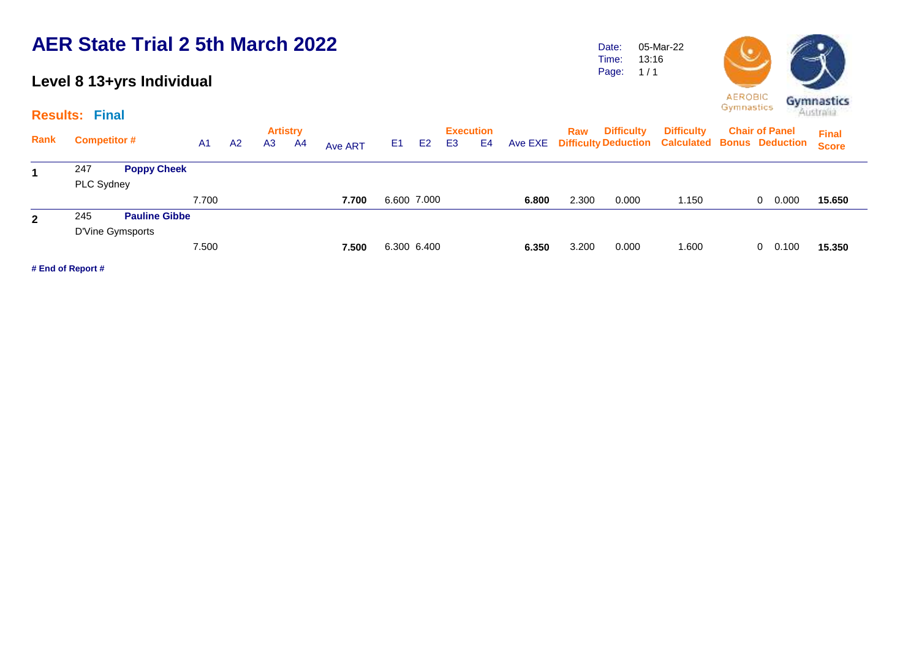#### **Level 8 13+yrs Individual**

**Results: Final**

Date: Time: Page: 05-Mar-22 13:16  $1/1$ 



| <b>EROBIC</b> | Gymnasti         |
|---------------|------------------|
| mnastics      | <b>GEORGIZEU</b> |

|              | $\cdots$            |                      |       |    |                |                 |                |                |                |                |                  |       |       |                   |                                                         |                       |   |       |              |  |
|--------------|---------------------|----------------------|-------|----|----------------|-----------------|----------------|----------------|----------------|----------------|------------------|-------|-------|-------------------|---------------------------------------------------------|-----------------------|---|-------|--------------|--|
|              |                     |                      |       |    |                | <b>Artistry</b> |                |                |                |                | <b>Execution</b> |       | Raw   | <b>Difficulty</b> | <b>Difficulty</b>                                       | <b>Chair of Panel</b> |   |       | <b>Final</b> |  |
| Rank         | <b>Competitor #</b> |                      | A1    | A2 | A <sub>3</sub> | A4              | <b>Ave ART</b> | E <sub>1</sub> | E <sub>2</sub> | E <sub>3</sub> | E4               |       |       |                   | Ave EXE Difficulty Deduction Calculated Bonus Deduction |                       |   |       | <b>Score</b> |  |
| 1            | 247                 | <b>Poppy Cheek</b>   |       |    |                |                 |                |                |                |                |                  |       |       |                   |                                                         |                       |   |       |              |  |
|              | PLC Sydney          |                      |       |    |                |                 |                |                |                |                |                  |       |       |                   |                                                         |                       |   |       |              |  |
|              |                     |                      | 7.700 |    |                |                 | 7.700          |                | 6.600 7.000    |                |                  | 6.800 | 2.300 | 0.000             | 1.150                                                   |                       | 0 | 0.000 | 15.650       |  |
| $\mathbf{2}$ | 245                 | <b>Pauline Gibbe</b> |       |    |                |                 |                |                |                |                |                  |       |       |                   |                                                         |                       |   |       |              |  |
|              |                     | D'Vine Gymsports     |       |    |                |                 |                |                |                |                |                  |       |       |                   |                                                         |                       |   |       |              |  |
|              |                     |                      | 7.500 |    |                |                 | 7.500          |                | 6.300 6.400    |                |                  | 6.350 | 3.200 | 0.000             | 1.600                                                   |                       | 0 | 0.100 | 15,350       |  |
|              | # End of Report #   |                      |       |    |                |                 |                |                |                |                |                  |       |       |                   |                                                         |                       |   |       |              |  |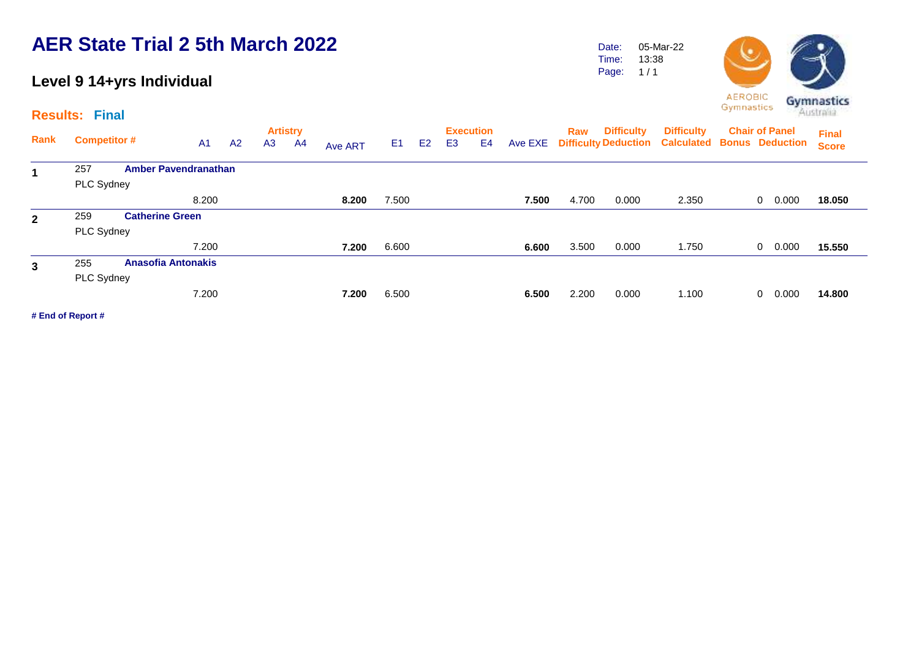#### **Level 9 14+yrs Individual**

**Results: Final**

Date: Time: Page: 05-Mar-22 13:38  $1/1$ 



| Rank         | <b>Competitor #</b> |                             | A <sub>1</sub> | A2 | <b>Artistry</b><br>A <sub>3</sub> | A4 | Ave ART | E <sub>1</sub> | E <sub>2</sub> | E <sub>3</sub> | <b>Execution</b><br>E4 | Ave EXE | Raw   | <b>Difficulty</b> | <b>Difficulty</b><br><b>Difficulty Deduction Calculated</b> | <b>Chair of Panel</b><br><b>Bonus Deduction</b> | <b>Final</b><br><b>Score</b> |
|--------------|---------------------|-----------------------------|----------------|----|-----------------------------------|----|---------|----------------|----------------|----------------|------------------------|---------|-------|-------------------|-------------------------------------------------------------|-------------------------------------------------|------------------------------|
| 1            | 257                 | <b>Amber Pavendranathan</b> |                |    |                                   |    |         |                |                |                |                        |         |       |                   |                                                             |                                                 |                              |
|              | PLC Sydney          |                             |                |    |                                   |    |         |                |                |                |                        |         |       |                   |                                                             |                                                 |                              |
|              |                     |                             | 8.200          |    |                                   |    | 8.200   | 7.500          |                |                |                        | 7.500   | 4.700 | 0.000             | 2.350                                                       | 0.000<br>$\mathbf{0}$                           | 18.050                       |
| $\mathbf{2}$ | 259                 | <b>Catherine Green</b>      |                |    |                                   |    |         |                |                |                |                        |         |       |                   |                                                             |                                                 |                              |
|              | PLC Sydney          |                             |                |    |                                   |    |         |                |                |                |                        |         |       |                   |                                                             |                                                 |                              |
|              |                     |                             | 7.200          |    |                                   |    | 7.200   | 6.600          |                |                |                        | 6.600   | 3.500 | 0.000             | 1.750                                                       | 0.000<br>0                                      | 15.550                       |
| $\mathbf{3}$ | 255                 | <b>Anasofia Antonakis</b>   |                |    |                                   |    |         |                |                |                |                        |         |       |                   |                                                             |                                                 |                              |
|              | <b>PLC Sydney</b>   |                             |                |    |                                   |    |         |                |                |                |                        |         |       |                   |                                                             |                                                 |                              |
|              |                     |                             | 7.200          |    |                                   |    | 7.200   | 6.500          |                |                |                        | 6.500   | 2.200 | 0.000             | 1.100                                                       | 0.000<br>0                                      | 14.800                       |